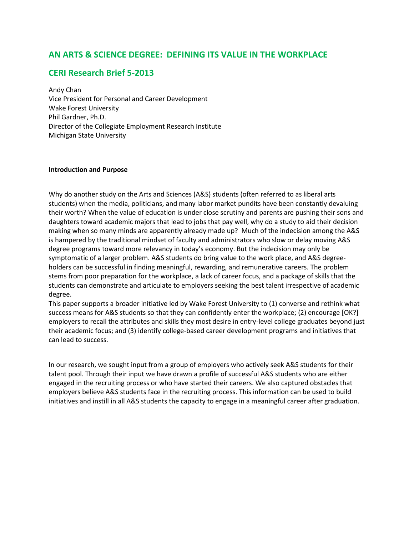# **AN ARTS & SCIENCE DEGREE: DEFINING ITS VALUE IN THE WORKPLACE**

# **CERI Research Brief 5-2013**

Andy Chan Vice President for Personal and Career Development Wake Forest University Phil Gardner, Ph.D. Director of the Collegiate Employment Research Institute Michigan State University

#### **Introduction and Purpose**

Why do another study on the Arts and Sciences (A&S) students (often referred to as liberal arts students) when the media, politicians, and many labor market pundits have been constantly devaluing their worth? When the value of education is under close scrutiny and parents are pushing their sons and daughters toward academic majors that lead to jobs that pay well, why do a study to aid their decision making when so many minds are apparently already made up? Much of the indecision among the A&S is hampered by the traditional mindset of faculty and administrators who slow or delay moving A&S degree programs toward more relevancy in today's economy. But the indecision may only be symptomatic of a larger problem. A&S students do bring value to the work place, and A&S degreeholders can be successful in finding meaningful, rewarding, and remunerative careers. The problem stems from poor preparation for the workplace, a lack of career focus, and a package of skills that the students can demonstrate and articulate to employers seeking the best talent irrespective of academic degree.

This paper supports a broader initiative led by Wake Forest University to (1) converse and rethink what success means for A&S students so that they can confidently enter the workplace; (2) encourage [OK?] employers to recall the attributes and skills they most desire in entry-level college graduates beyond just their academic focus; and (3) identify college-based career development programs and initiatives that can lead to success.

In our research, we sought input from a group of employers who actively seek A&S students for their talent pool. Through their input we have drawn a profile of successful A&S students who are either engaged in the recruiting process or who have started their careers. We also captured obstacles that employers believe A&S students face in the recruiting process. This information can be used to build initiatives and instill in all A&S students the capacity to engage in a meaningful career after graduation.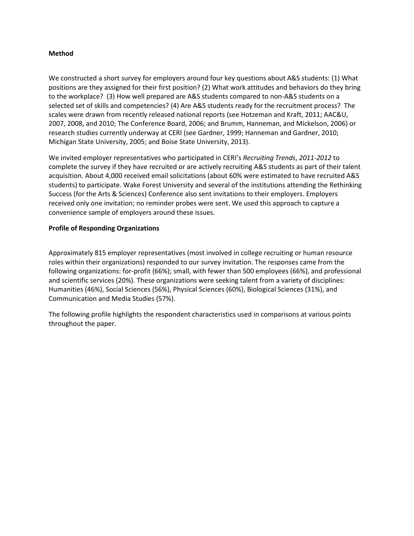#### **Method**

We constructed a short survey for employers around four key questions about A&S students: (1) What positions are they assigned for their first position? (2) What work attitudes and behaviors do they bring to the workplace? (3) How well prepared are A&S students compared to non-A&S students on a selected set of skills and competencies? (4) Are A&S students ready for the recruitment process? The scales were drawn from recently released national reports (see Hotzeman and Kraft, 2011; AAC&U, 2007, 2008, and 2010; The Conference Board, 2006; and Brumm, Hanneman, and Mickelson, 2006) or research studies currently underway at CERI (see Gardner, 1999; Hanneman and Gardner, 2010; Michigan State University, 2005; and Boise State University, 2013).

We invited employer representatives who participated in CERI's *Recruiting Trends*, *2011-2012* to complete the survey if they have recruited or are actively recruiting A&S students as part of their talent acquisition. About 4,000 received email solicitations (about 60% were estimated to have recruited A&S students) to participate. Wake Forest University and several of the institutions attending the Rethinking Success (for the Arts & Sciences) Conference also sent invitations to their employers. Employers received only one invitation; no reminder probes were sent. We used this approach to capture a convenience sample of employers around these issues.

#### **Profile of Responding Organizations**

Approximately 815 employer representatives (most involved in college recruiting or human resource roles within their organizations) responded to our survey invitation. The responses came from the following organizations: for-profit (66%); small, with fewer than 500 employees (66%), and professional and scientific services (20%). These organizations were seeking talent from a variety of disciplines: Humanities (46%), Social Sciences (56%), Physical Sciences (60%), Biological Sciences (31%), and Communication and Media Studies (57%).

The following profile highlights the respondent characteristics used in comparisons at various points throughout the paper.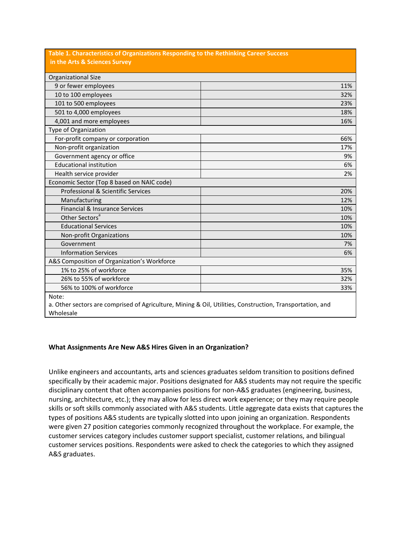| Table 1. Characteristics of Organizations Responding to the Rethinking Career Success<br>in the Arts & Sciences Survey |                                                                                                           |
|------------------------------------------------------------------------------------------------------------------------|-----------------------------------------------------------------------------------------------------------|
|                                                                                                                        |                                                                                                           |
| Organizational Size                                                                                                    |                                                                                                           |
| 9 or fewer employees                                                                                                   | 11%                                                                                                       |
| 10 to 100 employees                                                                                                    | 32%                                                                                                       |
| 101 to 500 employees                                                                                                   | 23%                                                                                                       |
| 501 to 4,000 employees                                                                                                 | 18%                                                                                                       |
| 4,001 and more employees                                                                                               | 16%                                                                                                       |
| Type of Organization                                                                                                   |                                                                                                           |
| For-profit company or corporation                                                                                      | 66%                                                                                                       |
| Non-profit organization                                                                                                | 17%                                                                                                       |
| Government agency or office                                                                                            | 9%                                                                                                        |
| <b>Educational institution</b>                                                                                         | 6%                                                                                                        |
| Health service provider                                                                                                | 2%                                                                                                        |
| Economic Sector (Top 8 based on NAIC code)                                                                             |                                                                                                           |
| Professional & Scientific Services                                                                                     | 20%                                                                                                       |
| Manufacturing                                                                                                          | 12%                                                                                                       |
| Financial & Insurance Services                                                                                         | 10%                                                                                                       |
| Other Sectors <sup>a</sup>                                                                                             | 10%                                                                                                       |
| <b>Educational Services</b>                                                                                            | 10%                                                                                                       |
| Non-profit Organizations                                                                                               | 10%                                                                                                       |
| Government                                                                                                             | 7%                                                                                                        |
| <b>Information Services</b>                                                                                            | 6%                                                                                                        |
| A&S Composition of Organization's Workforce                                                                            |                                                                                                           |
| 1% to 25% of workforce                                                                                                 | 35%                                                                                                       |
| 26% to 55% of workforce                                                                                                | 32%                                                                                                       |
| 56% to 100% of workforce                                                                                               | 33%                                                                                                       |
| Note:                                                                                                                  |                                                                                                           |
|                                                                                                                        | a. Other sectors are comprised of Agriculture, Mining & Oil, Utilities, Construction, Transportation, and |

Wholesale

#### **What Assignments Are New A&S Hires Given in an Organization?**

Unlike engineers and accountants, arts and sciences graduates seldom transition to positions defined specifically by their academic major. Positions designated for A&S students may not require the specific disciplinary content that often accompanies positions for non-A&S graduates (engineering, business, nursing, architecture, etc.); they may allow for less direct work experience; or they may require people skills or soft skills commonly associated with A&S students. Little aggregate data exists that captures the types of positions A&S students are typically slotted into upon joining an organization. Respondents were given 27 position categories commonly recognized throughout the workplace. For example, the customer services category includes customer support specialist, customer relations, and bilingual customer services positions. Respondents were asked to check the categories to which they assigned A&S graduates.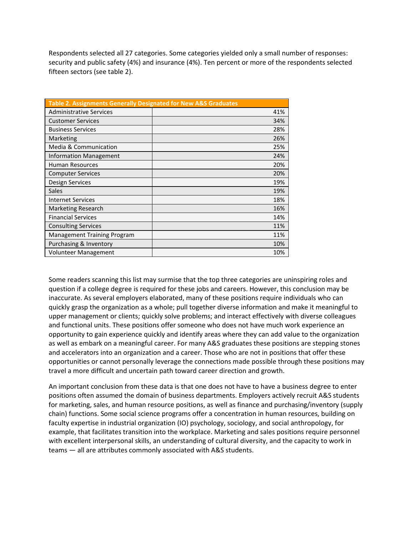Respondents selected all 27 categories. Some categories yielded only a small number of responses: security and public safety (4%) and insurance (4%). Ten percent or more of the respondents selected fifteen sectors (see table 2).

| <b>Table 2. Assignments Generally Designated for New A&amp;S Graduates</b> |     |  |  |  |  |
|----------------------------------------------------------------------------|-----|--|--|--|--|
| <b>Administrative Services</b>                                             | 41% |  |  |  |  |
| <b>Customer Services</b>                                                   | 34% |  |  |  |  |
| <b>Business Services</b>                                                   | 28% |  |  |  |  |
| Marketing                                                                  | 26% |  |  |  |  |
| Media & Communication                                                      | 25% |  |  |  |  |
| Information Management                                                     | 24% |  |  |  |  |
| <b>Human Resources</b>                                                     | 20% |  |  |  |  |
| <b>Computer Services</b>                                                   | 20% |  |  |  |  |
| Design Services                                                            | 19% |  |  |  |  |
| <b>Sales</b>                                                               | 19% |  |  |  |  |
| <b>Internet Services</b>                                                   | 18% |  |  |  |  |
| <b>Marketing Research</b>                                                  | 16% |  |  |  |  |
| <b>Financial Services</b>                                                  | 14% |  |  |  |  |
| <b>Consulting Services</b>                                                 | 11% |  |  |  |  |
| <b>Management Training Program</b>                                         | 11% |  |  |  |  |
| Purchasing & Inventory                                                     | 10% |  |  |  |  |
| <b>Volunteer Management</b>                                                | 10% |  |  |  |  |

Some readers scanning this list may surmise that the top three categories are uninspiring roles and question if a college degree is required for these jobs and careers. However, this conclusion may be inaccurate. As several employers elaborated, many of these positions require individuals who can quickly grasp the organization as a whole; pull together diverse information and make it meaningful to upper management or clients; quickly solve problems; and interact effectively with diverse colleagues and functional units. These positions offer someone who does not have much work experience an opportunity to gain experience quickly and identify areas where they can add value to the organization as well as embark on a meaningful career. For many A&S graduates these positions are stepping stones and accelerators into an organization and a career. Those who are not in positions that offer these opportunities or cannot personally leverage the connections made possible through these positions may travel a more difficult and uncertain path toward career direction and growth.

An important conclusion from these data is that one does not have to have a business degree to enter positions often assumed the domain of business departments. Employers actively recruit A&S students for marketing, sales, and human resource positions, as well as finance and purchasing/inventory (supply chain) functions. Some social science programs offer a concentration in human resources, building on faculty expertise in industrial organization (IO) psychology, sociology, and social anthropology, for example, that facilitates transition into the workplace. Marketing and sales positions require personnel with excellent interpersonal skills, an understanding of cultural diversity, and the capacity to work in teams — all are attributes commonly associated with A&S students.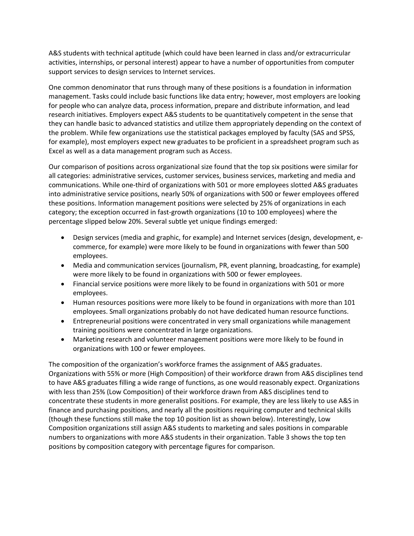A&S students with technical aptitude (which could have been learned in class and/or extracurricular activities, internships, or personal interest) appear to have a number of opportunities from computer support services to design services to Internet services.

One common denominator that runs through many of these positions is a foundation in information management. Tasks could include basic functions like data entry; however, most employers are looking for people who can analyze data, process information, prepare and distribute information, and lead research initiatives. Employers expect A&S students to be quantitatively competent in the sense that they can handle basic to advanced statistics and utilize them appropriately depending on the context of the problem. While few organizations use the statistical packages employed by faculty (SAS and SPSS, for example), most employers expect new graduates to be proficient in a spreadsheet program such as Excel as well as a data management program such as Access.

Our comparison of positions across organizational size found that the top six positions were similar for all categories: administrative services, customer services, business services, marketing and media and communications. While one-third of organizations with 501 or more employees slotted A&S graduates into administrative service positions, nearly 50% of organizations with 500 or fewer employees offered these positions. Information management positions were selected by 25% of organizations in each category; the exception occurred in fast-growth organizations (10 to 100 employees) where the percentage slipped below 20%. Several subtle yet unique findings emerged:

- Design services (media and graphic, for example) and Internet services (design, development, ecommerce, for example) were more likely to be found in organizations with fewer than 500 employees.
- Media and communication services (journalism, PR, event planning, broadcasting, for example) were more likely to be found in organizations with 500 or fewer employees.
- Financial service positions were more likely to be found in organizations with 501 or more employees.
- Human resources positions were more likely to be found in organizations with more than 101 employees. Small organizations probably do not have dedicated human resource functions.
- Entrepreneurial positions were concentrated in very small organizations while management training positions were concentrated in large organizations.
- Marketing research and volunteer management positions were more likely to be found in organizations with 100 or fewer employees.

The composition of the organization's workforce frames the assignment of A&S graduates. Organizations with 55% or more (High Composition) of their workforce drawn from A&S disciplines tend to have A&S graduates filling a wide range of functions, as one would reasonably expect. Organizations with less than 25% (Low Composition) of their workforce drawn from A&S disciplines tend to concentrate these students in more generalist positions. For example, they are less likely to use A&S in finance and purchasing positions, and nearly all the positions requiring computer and technical skills (though these functions still make the top 10 position list as shown below). Interestingly, Low Composition organizations still assign A&S students to marketing and sales positions in comparable numbers to organizations with more A&S students in their organization. Table 3 shows the top ten positions by composition category with percentage figures for comparison.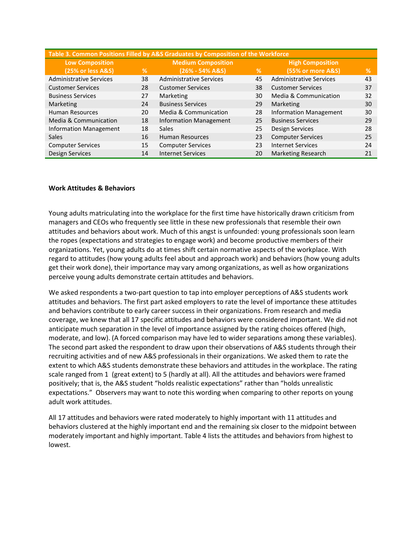| Table 3. Common Positions Filled by A&S Graduates by Composition of the Workforce |                           |                                |    |                                |    |  |  |
|-----------------------------------------------------------------------------------|---------------------------|--------------------------------|----|--------------------------------|----|--|--|
| <b>Low Composition</b>                                                            | <b>Medium Composition</b> |                                |    | <b>High Composition</b>        |    |  |  |
| (25% or less A&S)                                                                 | %                         | $(26% - 54% A&S)$              | %  | (55% or more A&S)              | %  |  |  |
| <b>Administrative Services</b>                                                    | 38                        | <b>Administrative Services</b> | 45 | <b>Administrative Services</b> | 43 |  |  |
| <b>Customer Services</b>                                                          | 28                        | <b>Customer Services</b>       | 38 | <b>Customer Services</b>       | 37 |  |  |
| <b>Business Services</b>                                                          | 27                        | Marketing                      | 30 | Media & Communication          | 32 |  |  |
| Marketing                                                                         | 24                        | <b>Business Services</b>       | 29 | Marketing                      | 30 |  |  |
| <b>Human Resources</b>                                                            | 20                        | Media & Communication          | 28 | Information Management         | 30 |  |  |
| Media & Communication                                                             | 18                        | <b>Information Management</b>  | 25 | <b>Business Services</b>       | 29 |  |  |
| Information Management                                                            | 18                        | <b>Sales</b>                   | 25 | <b>Design Services</b>         | 28 |  |  |
| <b>Sales</b>                                                                      | 16                        | <b>Human Resources</b>         | 23 | <b>Computer Services</b>       | 25 |  |  |
| <b>Computer Services</b>                                                          | 15                        | <b>Computer Services</b>       | 23 | <b>Internet Services</b>       | 24 |  |  |
| <b>Design Services</b>                                                            | 14                        | <b>Internet Services</b>       | 20 | <b>Marketing Research</b>      | 21 |  |  |

#### **Work Attitudes & Behaviors**

Young adults matriculating into the workplace for the first time have historically drawn criticism from managers and CEOs who frequently see little in these new professionals that resemble their own attitudes and behaviors about work. Much of this angst is unfounded: young professionals soon learn the ropes (expectations and strategies to engage work) and become productive members of their organizations. Yet, young adults do at times shift certain normative aspects of the workplace. With regard to attitudes (how young adults feel about and approach work) and behaviors (how young adults get their work done), their importance may vary among organizations, as well as how organizations perceive young adults demonstrate certain attitudes and behaviors.

We asked respondents a two-part question to tap into employer perceptions of A&S students work attitudes and behaviors. The first part asked employers to rate the level of importance these attitudes and behaviors contribute to early career success in their organizations. From research and media coverage, we knew that all 17 specific attitudes and behaviors were considered important. We did not anticipate much separation in the level of importance assigned by the rating choices offered (high, moderate, and low). (A forced comparison may have led to wider separations among these variables). The second part asked the respondent to draw upon their observations of A&S students through their recruiting activities and of new A&S professionals in their organizations. We asked them to rate the extent to which A&S students demonstrate these behaviors and attitudes in the workplace. The rating scale ranged from 1 (great extent) to 5 (hardly at all). All the attitudes and behaviors were framed positively; that is, the A&S student "holds realistic expectations" rather than "holds unrealistic expectations." Observers may want to note this wording when comparing to other reports on young adult work attitudes.

All 17 attitudes and behaviors were rated moderately to highly important with 11 attitudes and behaviors clustered at the highly important end and the remaining six closer to the midpoint between moderately important and highly important. Table 4 lists the attitudes and behaviors from highest to lowest.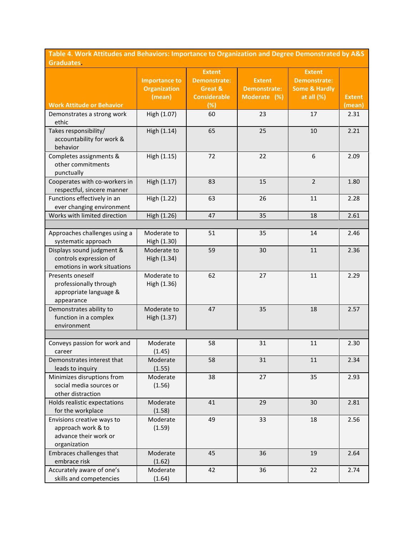**Table 4. Work Attitudes and Behaviors: Importance to Organization and Degree Demonstrated by A&S Graduates.**

|                                                                                           | <b>Importance to</b><br><b>Organization</b><br>(mean) | <b>Extent</b><br><b>Demonstrate:</b><br>Great &<br><b>Considerable</b> | <b>Extent</b><br><b>Demonstrate:</b><br>Moderate (%) | <b>Extent</b><br><b>Demonstrate:</b><br><b>Some &amp; Hardly</b><br>at all $(%)$ | <b>Extent</b> |
|-------------------------------------------------------------------------------------------|-------------------------------------------------------|------------------------------------------------------------------------|------------------------------------------------------|----------------------------------------------------------------------------------|---------------|
| <b>Work Attitude or Behavior</b>                                                          |                                                       | $\overline{(*)}$                                                       |                                                      |                                                                                  | (mean)        |
| Demonstrates a strong work<br>ethic                                                       | High (1.07)                                           | 60                                                                     | 23                                                   | 17                                                                               | 2.31          |
| Takes responsibility/<br>accountability for work &<br>behavior                            | High (1.14)                                           | 65                                                                     | 25                                                   | 10                                                                               | 2.21          |
| Completes assignments &<br>other commitments<br>punctually                                | High (1.15)                                           | 72                                                                     | 22                                                   | 6                                                                                | 2.09          |
| Cooperates with co-workers in<br>respectful, sincere manner                               | High (1.17)                                           | 83                                                                     | 15                                                   | $\overline{2}$                                                                   | 1.80          |
| Functions effectively in an<br>ever changing environment                                  | High (1.22)                                           | 63                                                                     | 26                                                   | 11                                                                               | 2.28          |
| Works with limited direction                                                              | High (1.26)                                           | 47                                                                     | 35                                                   | 18                                                                               | 2.61          |
|                                                                                           |                                                       |                                                                        |                                                      |                                                                                  |               |
| Approaches challenges using a<br>systematic approach                                      | Moderate to<br>High (1.30)                            | 51                                                                     | 35                                                   | 14                                                                               | 2.46          |
| Displays sound judgment &<br>controls expression of<br>emotions in work situations        | Moderate to<br>High (1.34)                            | 59                                                                     | 30                                                   | 11                                                                               | 2.36          |
| Presents oneself<br>professionally through<br>appropriate language &<br>appearance        | Moderate to<br>High (1.36)                            | 62                                                                     | 27                                                   | 11                                                                               | 2.29          |
| Demonstrates ability to<br>function in a complex<br>environment                           | Moderate to<br>High (1.37)                            | 47                                                                     | 35                                                   | 18                                                                               | 2.57          |
|                                                                                           |                                                       |                                                                        |                                                      |                                                                                  |               |
| Conveys passion for work and<br>career                                                    | Moderate<br>(1.45)                                    | 58                                                                     | 31                                                   | 11                                                                               | 2.30          |
| Demonstrates interest that<br>leads to inquiry                                            | Moderate<br>(1.55)                                    | 58                                                                     | 31                                                   | 11                                                                               | 2.34          |
| Minimizes disruptions from<br>social media sources or<br>other distraction                | Moderate<br>(1.56)                                    | 38                                                                     | 27                                                   | 35                                                                               | 2.93          |
| Holds realistic expectations<br>for the workplace                                         | Moderate<br>(1.58)                                    | 41                                                                     | 29                                                   | 30                                                                               | 2.81          |
| Envisions creative ways to<br>approach work & to<br>advance their work or<br>organization | Moderate<br>(1.59)                                    | 49                                                                     | 33                                                   | 18                                                                               | 2.56          |
| Embraces challenges that<br>embrace risk                                                  | Moderate<br>(1.62)                                    | 45                                                                     | 36                                                   | 19                                                                               | 2.64          |
| Accurately aware of one's<br>skills and competencies                                      | Moderate<br>(1.64)                                    | 42                                                                     | 36                                                   | 22                                                                               | 2.74          |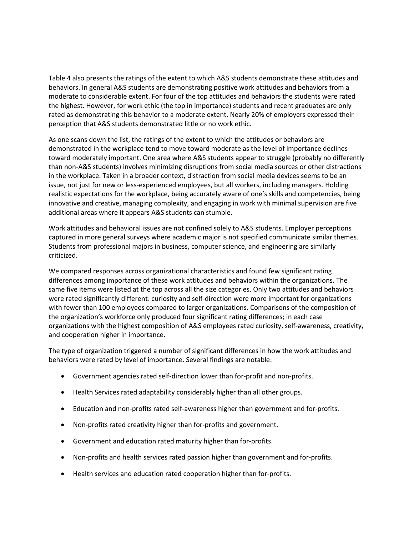Table 4 also presents the ratings of the extent to which A&S students demonstrate these attitudes and behaviors. In general A&S students are demonstrating positive work attitudes and behaviors from a moderate to considerable extent. For four of the top attitudes and behaviors the students were rated the highest. However, for work ethic (the top in importance) students and recent graduates are only rated as demonstrating this behavior to a moderate extent. Nearly 20% of employers expressed their perception that A&S students demonstrated little or no work ethic.

As one scans down the list, the ratings of the extent to which the attitudes or behaviors are demonstrated in the workplace tend to move toward moderate as the level of importance declines toward moderately important. One area where A&S students appear to struggle (probably no differently than non-A&S students) involves minimizing disruptions from social media sources or other distractions in the workplace. Taken in a broader context, distraction from social media devices seems to be an issue, not just for new or less-experienced employees, but all workers, including managers. Holding realistic expectations for the workplace, being accurately aware of one's skills and competencies, being innovative and creative, managing complexity, and engaging in work with minimal supervision are five additional areas where it appears A&S students can stumble.

Work attitudes and behavioral issues are not confined solely to A&S students. Employer perceptions captured in more general surveys where academic major is not specified communicate similar themes. Students from professional majors in business, computer science, and engineering are similarly criticized.

We compared responses across organizational characteristics and found few significant rating differences among importance of these work attitudes and behaviors within the organizations. The same five items were listed at the top across all the size categories. Only two attitudes and behaviors were rated significantly different: curiosity and self-direction were more important for organizations with fewer than 100 employees compared to larger organizations. Comparisons of the composition of the organization's workforce only produced four significant rating differences; in each case organizations with the highest composition of A&S employees rated curiosity, self-awareness, creativity, and cooperation higher in importance.

The type of organization triggered a number of significant differences in how the work attitudes and behaviors were rated by level of importance. Several findings are notable:

- Government agencies rated self-direction lower than for-profit and non-profits.
- Health Services rated adaptability considerably higher than all other groups.
- Education and non-profits rated self-awareness higher than government and for-profits.
- Non-profits rated creativity higher than for-profits and government.
- Government and education rated maturity higher than for-profits.
- Non-profits and health services rated passion higher than government and for-profits.
- Health services and education rated cooperation higher than for-profits.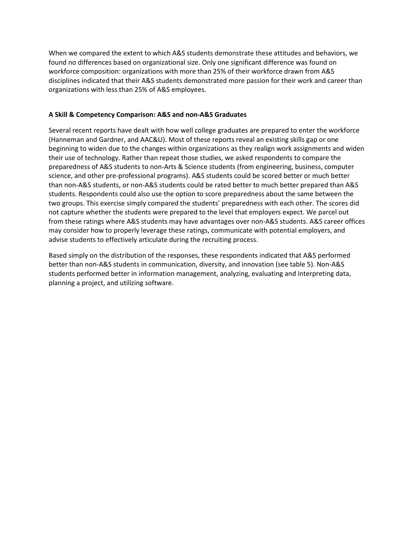When we compared the extent to which A&S students demonstrate these attitudes and behaviors, we found no differences based on organizational size. Only one significant difference was found on workforce composition: organizations with more than 25% of their workforce drawn from A&S disciplines indicated that their A&S students demonstrated more passion for their work and career than organizations with less than 25% of A&S employees.

#### **A Skill & Competency Comparison: A&S and non-A&S Graduates**

Several recent reports have dealt with how well college graduates are prepared to enter the workforce (Hanneman and Gardner, and AAC&U). Most of these reports reveal an existing skills gap or one beginning to widen due to the changes within organizations as they realign work assignments and widen their use of technology. Rather than repeat those studies, we asked respondents to compare the preparedness of A&S students to non-Arts & Science students (from engineering, business, computer science, and other pre-professional programs). A&S students could be scored better or much better than non-A&S students, or non-A&S students could be rated better to much better prepared than A&S students. Respondents could also use the option to score preparedness about the same between the two groups. This exercise simply compared the students' preparedness with each other. The scores did not capture whether the students were prepared to the level that employers expect. We parcel out from these ratings where A&S students may have advantages over non-A&S students. A&S career offices may consider how to properly leverage these ratings, communicate with potential employers, and advise students to effectively articulate during the recruiting process.

Based simply on the distribution of the responses, these respondents indicated that A&S performed better than non-A&S students in communication, diversity, and innovation (see table 5). Non-A&S students performed better in information management, analyzing, evaluating and interpreting data, planning a project, and utilizing software.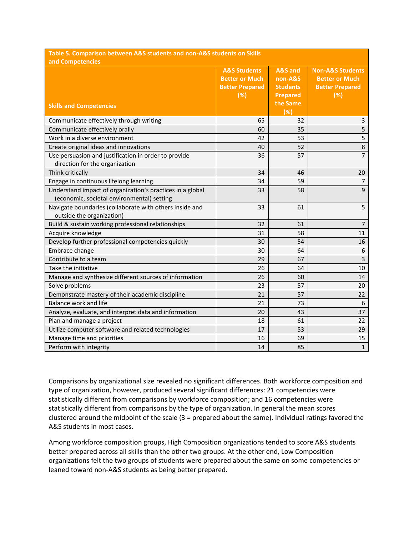| Table 5. Comparison between A&S students and non-A&S students on Skills                                 |                                                                                   |                                                                                          |                                                                                       |  |  |  |
|---------------------------------------------------------------------------------------------------------|-----------------------------------------------------------------------------------|------------------------------------------------------------------------------------------|---------------------------------------------------------------------------------------|--|--|--|
| and Competencies<br><b>Skills and Competencies</b>                                                      | <b>A&amp;S Students</b><br><b>Better or Much</b><br><b>Better Prepared</b><br>(%) | A&S and<br>non-A&S<br><b>Students</b><br><b>Prepared</b><br>the Same<br>$\overline{(*)}$ | <b>Non-A&amp;S Students</b><br><b>Better or Much</b><br><b>Better Prepared</b><br>(%) |  |  |  |
| Communicate effectively through writing                                                                 | 65                                                                                | 32                                                                                       | 3                                                                                     |  |  |  |
| Communicate effectively orally                                                                          | 60                                                                                | 35                                                                                       | 5                                                                                     |  |  |  |
| Work in a diverse environment                                                                           | 42                                                                                | 53                                                                                       | 5                                                                                     |  |  |  |
| Create original ideas and innovations                                                                   | 40                                                                                | 52                                                                                       | $\,8\,$                                                                               |  |  |  |
| Use persuasion and justification in order to provide<br>direction for the organization                  | 36                                                                                | 57                                                                                       | $\overline{7}$                                                                        |  |  |  |
| Think critically                                                                                        | 34                                                                                | 46                                                                                       | 20                                                                                    |  |  |  |
| Engage in continuous lifelong learning                                                                  | 34                                                                                | 59                                                                                       | $\overline{7}$                                                                        |  |  |  |
| Understand impact of organization's practices in a global<br>(economic, societal environmental) setting | 33                                                                                | 58                                                                                       | 9                                                                                     |  |  |  |
| Navigate boundaries (collaborate with others inside and<br>outside the organization)                    | 33                                                                                | 61                                                                                       | 5                                                                                     |  |  |  |
| Build & sustain working professional relationships                                                      | 32                                                                                | 61                                                                                       | $\overline{7}$                                                                        |  |  |  |
| Acquire knowledge                                                                                       | 31                                                                                | 58                                                                                       | 11                                                                                    |  |  |  |
| Develop further professional competencies quickly                                                       | 30                                                                                | 54                                                                                       | 16                                                                                    |  |  |  |
| Embrace change                                                                                          | 30                                                                                | 64                                                                                       | 6                                                                                     |  |  |  |
| Contribute to a team                                                                                    | 29                                                                                | 67                                                                                       | 3                                                                                     |  |  |  |
| Take the initiative                                                                                     | 26                                                                                | 64                                                                                       | 10                                                                                    |  |  |  |
| Manage and synthesize different sources of information                                                  | 26                                                                                | 60                                                                                       | 14                                                                                    |  |  |  |
| Solve problems                                                                                          | 23                                                                                | 57                                                                                       | 20                                                                                    |  |  |  |
| Demonstrate mastery of their academic discipline                                                        | 21                                                                                | 57                                                                                       | 22                                                                                    |  |  |  |
| Balance work and life                                                                                   | 21                                                                                | 73                                                                                       | 6                                                                                     |  |  |  |
| Analyze, evaluate, and interpret data and information                                                   | 20                                                                                | 43                                                                                       | 37                                                                                    |  |  |  |
| Plan and manage a project                                                                               | 18                                                                                | 61                                                                                       | 22                                                                                    |  |  |  |
| Utilize computer software and related technologies                                                      | 17                                                                                | 53                                                                                       | 29                                                                                    |  |  |  |
| Manage time and priorities                                                                              | 16                                                                                | 69                                                                                       | 15                                                                                    |  |  |  |
| Perform with integrity                                                                                  | 14                                                                                | 85                                                                                       | $\mathbf{1}$                                                                          |  |  |  |

Comparisons by organizational size revealed no significant differences. Both workforce composition and type of organization, however, produced several significant differences: 21 competencies were statistically different from comparisons by workforce composition; and 16 competencies were statistically different from comparisons by the type of organization. In general the mean scores clustered around the midpoint of the scale (3 = prepared about the same). Individual ratings favored the A&S students in most cases.

Among workforce composition groups, High Composition organizations tended to score A&S students better prepared across all skills than the other two groups. At the other end, Low Composition organizations felt the two groups of students were prepared about the same on some competencies or leaned toward non-A&S students as being better prepared.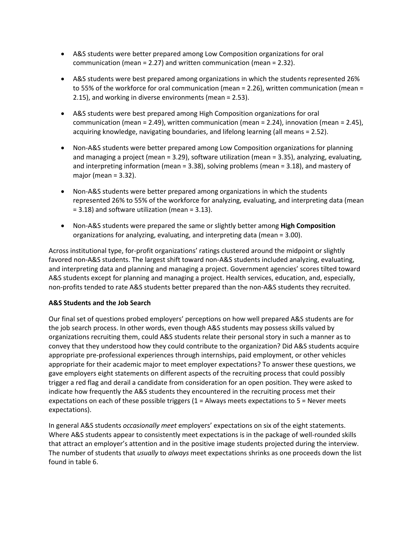- A&S students were better prepared among Low Composition organizations for oral communication (mean = 2.27) and written communication (mean = 2.32).
- A&S students were best prepared among organizations in which the students represented 26% to 55% of the workforce for oral communication (mean = 2.26), written communication (mean = 2.15), and working in diverse environments (mean = 2.53).
- A&S students were best prepared among High Composition organizations for oral communication (mean = 2.49), written communication (mean = 2.24), innovation (mean = 2.45), acquiring knowledge, navigating boundaries, and lifelong learning (all means = 2.52).
- Non-A&S students were better prepared among Low Composition organizations for planning and managing a project (mean = 3.29), software utilization (mean = 3.35), analyzing, evaluating, and interpreting information (mean = 3.38), solving problems (mean = 3.18), and mastery of major (mean = 3.32).
- Non-A&S students were better prepared among organizations in which the students represented 26% to 55% of the workforce for analyzing, evaluating, and interpreting data (mean = 3.18) and software utilization (mean = 3.13).
- Non-A&S students were prepared the same or slightly better among **High Composition** organizations for analyzing, evaluating, and interpreting data (mean = 3.00).

Across institutional type, for-profit organizations' ratings clustered around the midpoint or slightly favored non-A&S students. The largest shift toward non-A&S students included analyzing, evaluating, and interpreting data and planning and managing a project. Government agencies' scores tilted toward A&S students except for planning and managing a project. Health services, education, and, especially, non-profits tended to rate A&S students better prepared than the non-A&S students they recruited.

## **A&S Students and the Job Search**

Our final set of questions probed employers' perceptions on how well prepared A&S students are for the job search process. In other words, even though A&S students may possess skills valued by organizations recruiting them, could A&S students relate their personal story in such a manner as to convey that they understood how they could contribute to the organization? Did A&S students acquire appropriate pre-professional experiences through internships, paid employment, or other vehicles appropriate for their academic major to meet employer expectations? To answer these questions, we gave employers eight statements on different aspects of the recruiting process that could possibly trigger a red flag and derail a candidate from consideration for an open position. They were asked to indicate how frequently the A&S students they encountered in the recruiting process met their expectations on each of these possible triggers  $(1 =$  Always meets expectations to  $5 =$  Never meets expectations).

In general A&S students *occasionally meet* employers' expectations on six of the eight statements. Where A&S students appear to consistently meet expectations is in the package of well-rounded skills that attract an employer's attention and in the positive image students projected during the interview. The number of students that *usually* to *always* meet expectations shrinks as one proceeds down the list found in table 6.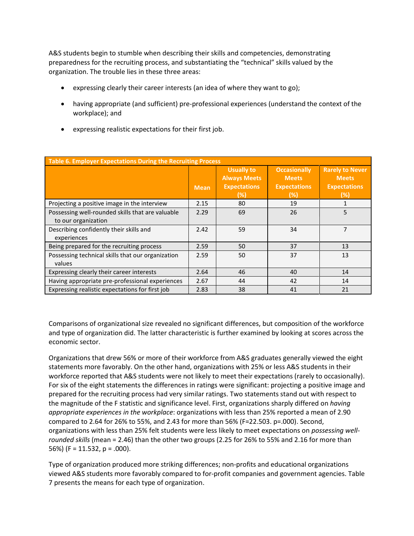A&S students begin to stumble when describing their skills and competencies, demonstrating preparedness for the recruiting process, and substantiating the "technical" skills valued by the organization. The trouble lies in these three areas:

- expressing clearly their career interests (an idea of where they want to go);
- having appropriate (and sufficient) pre-professional experiences (understand the context of the workplace); and
- expressing realistic expectations for their first job.

| <b>Table 6. Employer Expectations During the Recruiting Process</b>     |             |                                                                        |                                                                   |                                                                       |  |  |  |
|-------------------------------------------------------------------------|-------------|------------------------------------------------------------------------|-------------------------------------------------------------------|-----------------------------------------------------------------------|--|--|--|
|                                                                         | <b>Mean</b> | <b>Usually to</b><br><b>Always Meets</b><br><b>Expectations</b><br>(%) | <b>Occasionally</b><br><b>Meets</b><br><b>Expectations</b><br>(%) | <b>Rarely to Never</b><br><b>Meets</b><br><b>Expectations</b><br>(% ) |  |  |  |
| Projecting a positive image in the interview                            | 2.15        | 80                                                                     | 19                                                                |                                                                       |  |  |  |
| Possessing well-rounded skills that are valuable<br>to our organization | 2.29        | 69                                                                     | 26                                                                | 5                                                                     |  |  |  |
| Describing confidently their skills and<br>experiences                  | 2.42        | 59                                                                     | 34                                                                | 7                                                                     |  |  |  |
| Being prepared for the recruiting process                               | 2.59        | 50                                                                     | 37                                                                | 13                                                                    |  |  |  |
| Possessing technical skills that our organization<br>values             | 2.59        | 50                                                                     | 37                                                                | 13                                                                    |  |  |  |
| Expressing clearly their career interests                               | 2.64        | 46                                                                     | 40                                                                | 14                                                                    |  |  |  |
| Having appropriate pre-professional experiences                         | 2.67        | 44                                                                     | 42                                                                | 14                                                                    |  |  |  |
| Expressing realistic expectations for first job                         | 2.83        | 38                                                                     | 41                                                                | 21                                                                    |  |  |  |

Comparisons of organizational size revealed no significant differences, but composition of the workforce and type of organization did. The latter characteristic is further examined by looking at scores across the economic sector.

Organizations that drew 56% or more of their workforce from A&S graduates generally viewed the eight statements more favorably. On the other hand, organizations with 25% or less A&S students in their workforce reported that A&S students were not likely to meet their expectations (rarely to occasionally). For six of the eight statements the differences in ratings were significant: projecting a positive image and prepared for the recruiting process had very similar ratings. Two statements stand out with respect to the magnitude of the F statistic and significance level. First, organizations sharply differed on *having appropriate experiences in the workplace*: organizations with less than 25% reported a mean of 2.90 compared to 2.64 for 26% to 55%, and 2.43 for more than 56% (F=22.503. p=.000). Second, organizations with less than 25% felt students were less likely to meet expectations on *possessing wellrounded skills* (mean = 2.46) than the other two groups (2.25 for 26% to 55% and 2.16 for more than 56%) (F = 11.532, p = .000).

Type of organization produced more striking differences; non-profits and educational organizations viewed A&S students more favorably compared to for-profit companies and government agencies. Table 7 presents the means for each type of organization.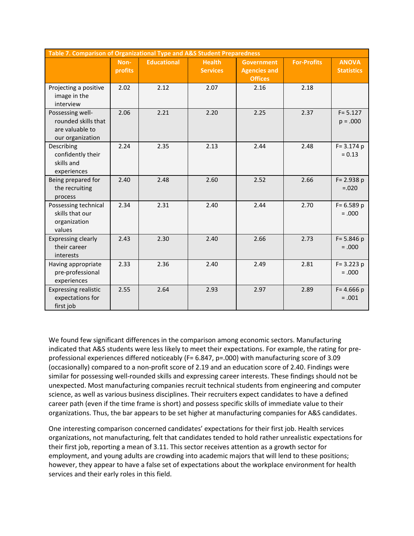| Table 7. Comparison of Organizational Type and A&S Student Preparedness        |                        |                    |                                  |                                                            |                    |                                   |  |  |
|--------------------------------------------------------------------------------|------------------------|--------------------|----------------------------------|------------------------------------------------------------|--------------------|-----------------------------------|--|--|
|                                                                                | Non-<br><b>profits</b> | <b>Educational</b> | <b>Health</b><br><b>Services</b> | <b>Government</b><br><b>Agencies and</b><br><b>Offices</b> | <b>For-Profits</b> | <b>ANOVA</b><br><b>Statistics</b> |  |  |
| Projecting a positive<br>image in the<br>interview                             | 2.02                   | 2.12               | 2.07                             | 2.16                                                       | 2.18               |                                   |  |  |
| Possessing well-<br>rounded skills that<br>are valuable to<br>our organization | 2.06                   | 2.21               | 2.20                             | 2.25                                                       | 2.37               | $F = 5.127$<br>$p = .000$         |  |  |
| Describing<br>confidently their<br>skills and<br>experiences                   | 2.24                   | 2.35               | 2.13                             | 2.44                                                       | 2.48               | $F = 3.174$ p<br>$= 0.13$         |  |  |
| Being prepared for<br>the recruiting<br>process                                | 2.40                   | 2.48               | 2.60                             | 2.52                                                       | 2.66               | $F = 2.938 p$<br>$=.020$          |  |  |
| Possessing technical<br>skills that our<br>organization<br>values              | 2.34                   | 2.31               | 2.40                             | 2.44                                                       | 2.70               | $F = 6.589 p$<br>$= .000$         |  |  |
| <b>Expressing clearly</b><br>their career<br>interests                         | 2.43                   | 2.30               | 2.40                             | 2.66                                                       | 2.73               | $F = 5.846 p$<br>$=.000$          |  |  |
| Having appropriate<br>pre-professional<br>experiences                          | 2.33                   | 2.36               | 2.40                             | 2.49                                                       | 2.81               | $F = 3.223 p$<br>$= .000$         |  |  |
| <b>Expressing realistic</b><br>expectations for<br>first job                   | 2.55                   | 2.64               | 2.93                             | 2.97                                                       | 2.89               | $F = 4.666 p$<br>$=.001$          |  |  |

We found few significant differences in the comparison among economic sectors. Manufacturing indicated that A&S students were less likely to meet their expectations. For example, the rating for preprofessional experiences differed noticeably (F= 6.847, p=.000) with manufacturing score of 3.09 (occasionally) compared to a non-profit score of 2.19 and an education score of 2.40. Findings were similar for possessing well-rounded skills and expressing career interests. These findings should not be unexpected. Most manufacturing companies recruit technical students from engineering and computer science, as well as various business disciplines. Their recruiters expect candidates to have a defined career path (even if the time frame is short) and possess specific skills of immediate value to their organizations. Thus, the bar appears to be set higher at manufacturing companies for A&S candidates.

One interesting comparison concerned candidates' expectations for their first job. Health services organizations, not manufacturing, felt that candidates tended to hold rather unrealistic expectations for their first job, reporting a mean of 3.11. This sector receives attention as a growth sector for employment, and young adults are crowding into academic majors that will lend to these positions; however, they appear to have a false set of expectations about the workplace environment for health services and their early roles in this field.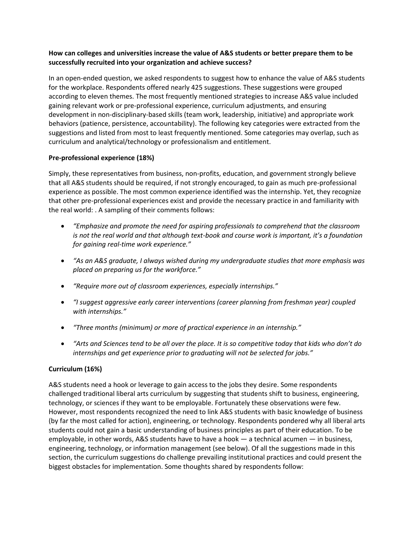#### **How can colleges and universities increase the value of A&S students or better prepare them to be successfully recruited into your organization and achieve success?**

In an open-ended question, we asked respondents to suggest how to enhance the value of A&S students for the workplace. Respondents offered nearly 425 suggestions. These suggestions were grouped according to eleven themes. The most frequently mentioned strategies to increase A&S value included gaining relevant work or pre-professional experience, curriculum adjustments, and ensuring development in non-disciplinary-based skills (team work, leadership, initiative) and appropriate work behaviors (patience, persistence, accountability). The following key categories were extracted from the suggestions and listed from most to least frequently mentioned. Some categories may overlap, such as curriculum and analytical/technology or professionalism and entitlement.

#### **Pre-professional experience (18%)**

Simply, these representatives from business, non-profits, education, and government strongly believe that all A&S students should be required, if not strongly encouraged, to gain as much pre-professional experience as possible. The most common experience identified was the internship. Yet, they recognize that other pre-professional experiences exist and provide the necessary practice in and familiarity with the real world: . A sampling of their comments follows:

- *"Emphasize and promote the need for aspiring professionals to comprehend that the classroom is not the real world and that although text-book and course work is important, it's a foundation for gaining real-time work experience."*
- *"As an A&S graduate, I always wished during my undergraduate studies that more emphasis was placed on preparing us for the workforce."*
- *"Require more out of classroom experiences, especially internships."*
- *"I suggest aggressive early career interventions (career planning from freshman year) coupled with internships."*
- *"Three months (minimum) or more of practical experience in an internship."*
- *"Arts and Sciences tend to be all over the place. It is so competitive today that kids who don't do internships and get experience prior to graduating will not be selected for jobs."*

## **Curriculum (16%)**

A&S students need a hook or leverage to gain access to the jobs they desire. Some respondents challenged traditional liberal arts curriculum by suggesting that students shift to business, engineering, technology, or sciences if they want to be employable. Fortunately these observations were few. However, most respondents recognized the need to link A&S students with basic knowledge of business (by far the most called for action), engineering, or technology. Respondents pondered why all liberal arts students could not gain a basic understanding of business principles as part of their education. To be employable, in other words, A&S students have to have a hook — a technical acumen — in business, engineering, technology, or information management (see below). Of all the suggestions made in this section, the curriculum suggestions do challenge prevailing institutional practices and could present the biggest obstacles for implementation. Some thoughts shared by respondents follow: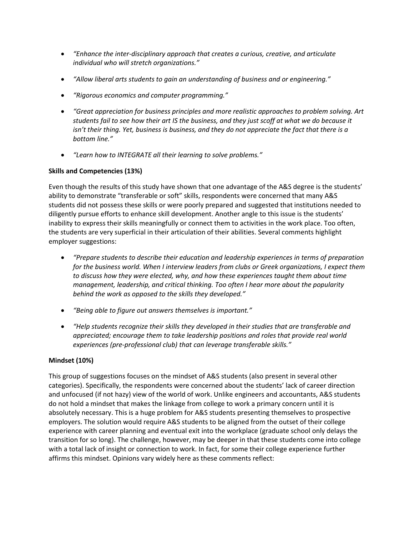- *"Enhance the inter-disciplinary approach that creates a curious, creative, and articulate individual who will stretch organizations."*
- *"Allow liberal arts students to gain an understanding of business and or engineering."*
- *"Rigorous economics and computer programming."*
- *"Great appreciation for business principles and more realistic approaches to problem solving. Art students fail to see how their art IS the business, and they just scoff at what we do because it isn't their thing. Yet, business is business, and they do not appreciate the fact that there is a bottom line."*
- *"Learn how to INTEGRATE all their learning to solve problems."*

# **Skills and Competencies (13%)**

Even though the results of this study have shown that one advantage of the A&S degree is the students' ability to demonstrate "transferable or soft" skills, respondents were concerned that many A&S students did not possess these skills or were poorly prepared and suggested that institutions needed to diligently pursue efforts to enhance skill development. Another angle to this issue is the students' inability to express their skills meaningfully or connect them to activities in the work place. Too often, the students are very superficial in their articulation of their abilities. Several comments highlight employer suggestions:

- *"Prepare students to describe their education and leadership experiences in terms of preparation for the business world. When I interview leaders from clubs or Greek organizations, I expect them to discuss how they were elected, why, and how these experiences taught them about time management, leadership, and critical thinking. Too often I hear more about the popularity behind the work as opposed to the skills they developed."*
- *"Being able to figure out answers themselves is important."*
- *"Help students recognize their skills they developed in their studies that are transferable and appreciated; encourage them to take leadership positions and roles that provide real world experiences (pre-professional club) that can leverage transferable skills."*

## **Mindset (10%)**

This group of suggestions focuses on the mindset of A&S students (also present in several other categories). Specifically, the respondents were concerned about the students' lack of career direction and unfocused (if not hazy) view of the world of work. Unlike engineers and accountants, A&S students do not hold a mindset that makes the linkage from college to work a primary concern until it is absolutely necessary. This is a huge problem for A&S students presenting themselves to prospective employers. The solution would require A&S students to be aligned from the outset of their college experience with career planning and eventual exit into the workplace (graduate school only delays the transition for so long). The challenge, however, may be deeper in that these students come into college with a total lack of insight or connection to work. In fact, for some their college experience further affirms this mindset. Opinions vary widely here as these comments reflect: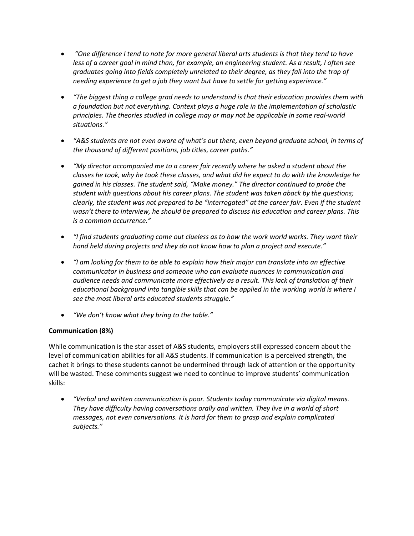- *"One difference I tend to note for more general liberal arts students is that they tend to have less of a career goal in mind than, for example, an engineering student. As a result, I often see graduates going into fields completely unrelated to their degree, as they fall into the trap of needing experience to get a job they want but have to settle for getting experience."*
- *"The biggest thing a college grad needs to understand is that their education provides them with a foundation but not everything. Context plays a huge role in the implementation of scholastic principles. The theories studied in college may or may not be applicable in some real-world situations."*
- *"A&S students are not even aware of what's out there, even beyond graduate school, in terms of the thousand of different positions, job titles, career paths."*
- *"My director accompanied me to a career fair recently where he asked a student about the classes he took, why he took these classes, and what did he expect to do with the knowledge he gained in his classes. The student said, "Make money." The director continued to probe the student with questions about his career plans. The student was taken aback by the questions; clearly, the student was not prepared to be "interrogated" at the career fair. Even if the student wasn't there to interview, he should be prepared to discuss his education and career plans. This is a common occurrence."*
- *"I find students graduating come out clueless as to how the work world works. They want their hand held during projects and they do not know how to plan a project and execute."*
- *"I am looking for them to be able to explain how their major can translate into an effective communicator in business and someone who can evaluate nuances in communication and audience needs and communicate more effectively as a result. This lack of translation of their educational background into tangible skills that can be applied in the working world is where I see the most liberal arts educated students struggle."*
- *"We don't know what they bring to the table."*

## **Communication (8%)**

While communication is the star asset of A&S students, employers still expressed concern about the level of communication abilities for all A&S students. If communication is a perceived strength, the cachet it brings to these students cannot be undermined through lack of attention or the opportunity will be wasted. These comments suggest we need to continue to improve students' communication skills:

 *"Verbal and written communication is poor. Students today communicate via digital means. They have difficulty having conversations orally and written. They live in a world of short messages, not even conversations. It is hard for them to grasp and explain complicated subjects."*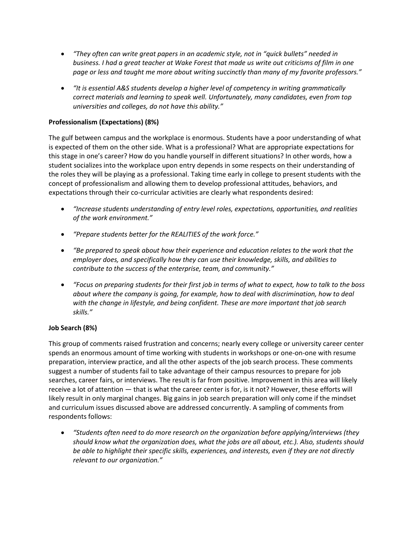- *"They often can write great papers in an academic style, not in "quick bullets" needed in business. I had a great teacher at Wake Forest that made us write out criticisms of film in one page or less and taught me more about writing succinctly than many of my favorite professors."*
- *"It is essential A&S students develop a higher level of competency in writing grammatically correct materials and learning to speak well. Unfortunately, many candidates, even from top universities and colleges, do not have this ability."*

# **Professionalism (Expectations) (8%)**

The gulf between campus and the workplace is enormous. Students have a poor understanding of what is expected of them on the other side. What is a professional? What are appropriate expectations for this stage in one's career? How do you handle yourself in different situations? In other words, how a student socializes into the workplace upon entry depends in some respects on their understanding of the roles they will be playing as a professional. Taking time early in college to present students with the concept of professionalism and allowing them to develop professional attitudes, behaviors, and expectations through their co-curricular activities are clearly what respondents desired:

- *"Increase students understanding of entry level roles, expectations, opportunities, and realities of the work environment."*
- *"Prepare students better for the REALITIES of the work force."*
- *"Be prepared to speak about how their experience and education relates to the work that the employer does, and specifically how they can use their knowledge, skills, and abilities to contribute to the success of the enterprise, team, and community."*
- *"Focus on preparing students for their first job in terms of what to expect, how to talk to the boss about where the company is going, for example, how to deal with discrimination, how to deal with the change in lifestyle, and being confident. These are more important that job search skills."*

## **Job Search (8%)**

This group of comments raised frustration and concerns; nearly every college or university career center spends an enormous amount of time working with students in workshops or one-on-one with resume preparation, interview practice, and all the other aspects of the job search process. These comments suggest a number of students fail to take advantage of their campus resources to prepare for job searches, career fairs, or interviews. The result is far from positive. Improvement in this area will likely receive a lot of attention — that is what the career center is for, is it not? However, these efforts will likely result in only marginal changes. Big gains in job search preparation will only come if the mindset and curriculum issues discussed above are addressed concurrently. A sampling of comments from respondents follows:

 *"Students often need to do more research on the organization before applying/interviews (they should know what the organization does, what the jobs are all about, etc.). Also, students should be able to highlight their specific skills, experiences, and interests, even if they are not directly relevant to our organization."*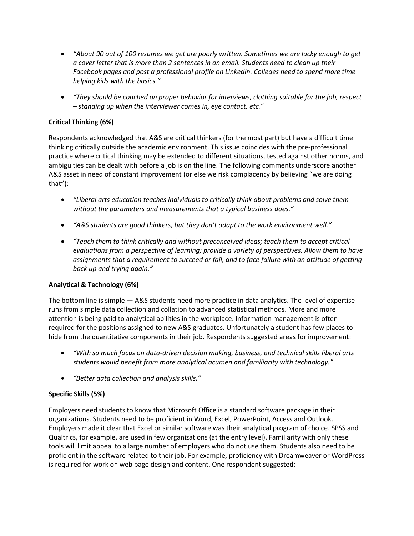- *"About 90 out of 100 resumes we get are poorly written. Sometimes we are lucky enough to get a cover letter that is more than 2 sentences in an email. Students need to clean up their Facebook pages and post a professional profile on LinkedIn. Colleges need to spend more time helping kids with the basics."*
- *"They should be coached on proper behavior for interviews, clothing suitable for the job, respect – standing up when the interviewer comes in, eye contact, etc."*

# **Critical Thinking (6%)**

Respondents acknowledged that A&S are critical thinkers (for the most part) but have a difficult time thinking critically outside the academic environment. This issue coincides with the pre-professional practice where critical thinking may be extended to different situations, tested against other norms, and ambiguities can be dealt with before a job is on the line. The following comments underscore another A&S asset in need of constant improvement (or else we risk complacency by believing "we are doing that"):

- *"Liberal arts education teaches individuals to critically think about problems and solve them without the parameters and measurements that a typical business does."*
- *"A&S students are good thinkers, but they don't adapt to the work environment well."*
- *"Teach them to think critically and without preconceived ideas; teach them to accept critical evaluations from a perspective of learning; provide a variety of perspectives. Allow them to have assignments that a requirement to succeed or fail, and to face failure with an attitude of getting back up and trying again."*

## **Analytical & Technology (6%)**

The bottom line is simple — A&S students need more practice in data analytics. The level of expertise runs from simple data collection and collation to advanced statistical methods. More and more attention is being paid to analytical abilities in the workplace. Information management is often required for the positions assigned to new A&S graduates. Unfortunately a student has few places to hide from the quantitative components in their job. Respondents suggested areas for improvement:

- *"With so much focus on data-driven decision making, business, and technical skills liberal arts students would benefit from more analytical acumen and familiarity with technology."*
- *"Better data collection and analysis skills."*

## **Specific Skills (5%)**

Employers need students to know that Microsoft Office is a standard software package in their organizations. Students need to be proficient in Word, Excel, PowerPoint, Access and Outlook. Employers made it clear that Excel or similar software was their analytical program of choice. SPSS and Qualtrics, for example, are used in few organizations (at the entry level). Familiarity with only these tools will limit appeal to a large number of employers who do not use them. Students also need to be proficient in the software related to their job. For example, proficiency with Dreamweaver or WordPress is required for work on web page design and content. One respondent suggested: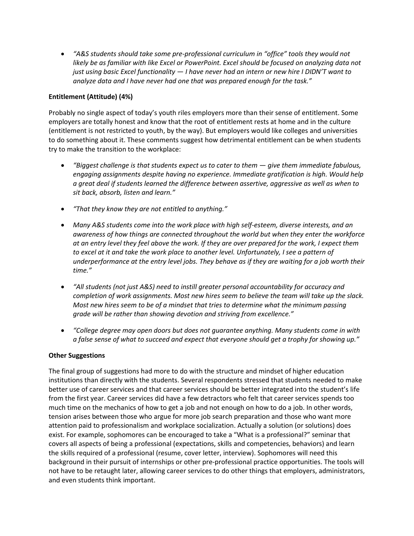*"A&S students should take some pre-professional curriculum in "office" tools they would not likely be as familiar with like Excel or PowerPoint. Excel should be focused on analyzing data not just using basic Excel functionality* — *I have never had an intern or new hire I DIDN'T want to analyze data and I have never had one that was prepared enough for the task."*

#### **Entitlement (Attitude) (4%)**

Probably no single aspect of today's youth riles employers more than their sense of entitlement. Some employers are totally honest and know that the root of entitlement rests at home and in the culture (entitlement is not restricted to youth, by the way). But employers would like colleges and universities to do something about it. These comments suggest how detrimental entitlement can be when students try to make the transition to the workplace:

- *"Biggest challenge is that students expect us to cater to them give them immediate fabulous, engaging assignments despite having no experience. Immediate gratification is high. Would help a great deal if students learned the difference between assertive, aggressive as well as when to sit back, absorb, listen and learn."*
- *"That they know they are not entitled to anything."*
- *Many A&S students come into the work place with high self-esteem, diverse interests, and an awareness of how things are connected throughout the world but when they enter the workforce at an entry level they feel above the work. If they are over prepared for the work, I expect them*  to excel at it and take the work place to another level. Unfortunately, I see a pattern of *underperformance at the entry level jobs. They behave as if they are waiting for a job worth their time."*
- *"All students (not just A&S) need to instill greater personal accountability for accuracy and completion of work assignments. Most new hires seem to believe the team will take up the slack. Most new hires seem to be of a mindset that tries to determine what the minimum passing grade will be rather than showing devotion and striving from excellence."*
- *"College degree may open doors but does not guarantee anything. Many students come in with a false sense of what to succeed and expect that everyone should get a trophy for showing up."*

## **Other Suggestions**

The final group of suggestions had more to do with the structure and mindset of higher education institutions than directly with the students. Several respondents stressed that students needed to make better use of career services and that career services should be better integrated into the student's life from the first year. Career services did have a few detractors who felt that career services spends too much time on the mechanics of how to get a job and not enough on how to do a job. In other words, tension arises between those who argue for more job search preparation and those who want more attention paid to professionalism and workplace socialization. Actually a solution (or solutions) does exist. For example, sophomores can be encouraged to take a "What is a professional?" seminar that covers all aspects of being a professional (expectations, skills and competencies, behaviors) and learn the skills required of a professional (resume, cover letter, interview). Sophomores will need this background in their pursuit of internships or other pre-professional practice opportunities. The tools will not have to be retaught later, allowing career services to do other things that employers, administrators, and even students think important.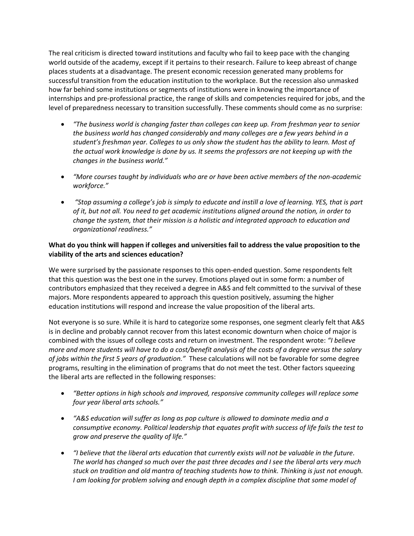The real criticism is directed toward institutions and faculty who fail to keep pace with the changing world outside of the academy, except if it pertains to their research. Failure to keep abreast of change places students at a disadvantage. The present economic recession generated many problems for successful transition from the education institution to the workplace. But the recession also unmasked how far behind some institutions or segments of institutions were in knowing the importance of internships and pre-professional practice, the range of skills and competencies required for jobs, and the level of preparedness necessary to transition successfully. These comments should come as no surprise:

- *"The business world is changing faster than colleges can keep up. From freshman year to senior the business world has changed considerably and many colleges are a few years behind in a student's freshman year. Colleges to us only show the student has the ability to learn. Most of the actual work knowledge is done by us. It seems the professors are not keeping up with the changes in the business world."*
- *"More courses taught by individuals who are or have been active members of the non-academic workforce."*
- *"Stop assuming a college's job is simply to educate and instill a love of learning. YES, that is part of it, but not all. You need to get academic institutions aligned around the notion, in order to change the system, that their mission is a holistic and integrated approach to education and organizational readiness."*

#### **What do you think will happen if colleges and universities fail to address the value proposition to the viability of the arts and sciences education?**

We were surprised by the passionate responses to this open-ended question. Some respondents felt that this question was the best one in the survey. Emotions played out in some form: a number of contributors emphasized that they received a degree in A&S and felt committed to the survival of these majors. More respondents appeared to approach this question positively, assuming the higher education institutions will respond and increase the value proposition of the liberal arts.

Not everyone is so sure. While it is hard to categorize some responses, one segment clearly felt that A&S is in decline and probably cannot recover from this latest economic downturn when choice of major is combined with the issues of college costs and return on investment. The respondent wrote: *"I believe more and more students will have to do a cost/benefit analysis of the costs of a degree versus the salary of jobs within the first 5 years of graduation."* These calculations will not be favorable for some degree programs, resulting in the elimination of programs that do not meet the test. Other factors squeezing the liberal arts are reflected in the following responses:

- *"Better options in high schools and improved, responsive community colleges will replace some four year liberal arts schools."*
- *"A&S education will suffer as long as pop culture is allowed to dominate media and a consumptive economy. Political leadership that equates profit with success of life fails the test to grow and preserve the quality of life."*
- *"I believe that the liberal arts education that currently exists will not be valuable in the future. The world has changed so much over the past three decades and I see the liberal arts very much stuck on tradition and old mantra of teaching students how to think. Thinking is just not enough. I am looking for problem solving and enough depth in a complex discipline that some model of*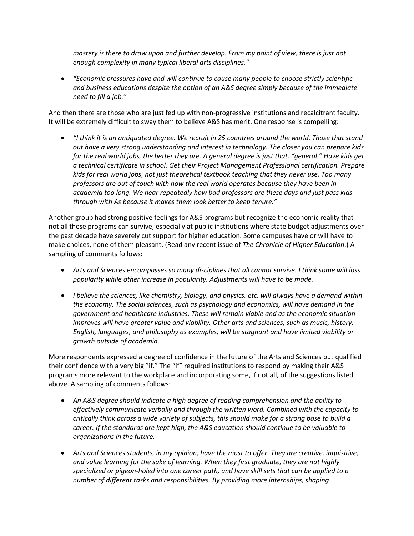*mastery is there to draw upon and further develop. From my point of view, there is just not enough complexity in many typical liberal arts disciplines."*

 *"Economic pressures have and will continue to cause many people to choose strictly scientific and business educations despite the option of an A&S degree simply because of the immediate need to fill a job."*

And then there are those who are just fed up with non-progressive institutions and recalcitrant faculty. It will be extremely difficult to sway them to believe A&S has merit. One response is compelling:

 *"I think it is an antiquated degree. We recruit in 25 countries around the world. Those that stand out have a very strong understanding and interest in technology. The closer you can prepare kids for the real world jobs, the better they are. A general degree is just that, "general." Have kids get a technical certificate in school. Get their Project Management Professional certification. Prepare kids for real world jobs, not just theoretical textbook teaching that they never use. Too many professors are out of touch with how the real world operates because they have been in academia too long. We hear repeatedly how bad professors are these days and just pass kids through with As because it makes them look better to keep tenure."*

Another group had strong positive feelings for A&S programs but recognize the economic reality that not all these programs can survive, especially at public institutions where state budget adjustments over the past decade have severely cut support for higher education. Some campuses have or will have to make choices, none of them pleasant. (Read any recent issue of *The Chronicle of Higher Education*.) A sampling of comments follows:

- *Arts and Sciences encompasses so many disciplines that all cannot survive. I think some will loss popularity while other increase in popularity. Adjustments will have to be made.*
- *I believe the sciences, like chemistry, biology, and physics, etc, will always have a demand within the economy. The social sciences, such as psychology and economics, will have demand in the government and healthcare industries. These will remain viable and as the economic situation improves will have greater value and viability. Other arts and sciences, such as music, history, English, languages, and philosophy as examples, will be stagnant and have limited viability or growth outside of academia.*

More respondents expressed a degree of confidence in the future of the Arts and Sciences but qualified their confidence with a very big "if." The "if" required institutions to respond by making their A&S programs more relevant to the workplace and incorporating some, if not all, of the suggestions listed above. A sampling of comments follows:

- *An A&S degree should indicate a high degree of reading comprehension and the ability to effectively communicate verbally and through the written word. Combined with the capacity to critically think across a wide variety of subjects, this should make for a strong base to build a career. If the standards are kept high, the A&S education should continue to be valuable to organizations in the future.*
- *Arts and Sciences students, in my opinion, have the most to offer. They are creative, inquisitive, and value learning for the sake of learning. When they first graduate, they are not highly specialized or pigeon-holed into one career path, and have skill sets that can be applied to a number of different tasks and responsibilities. By providing more internships, shaping*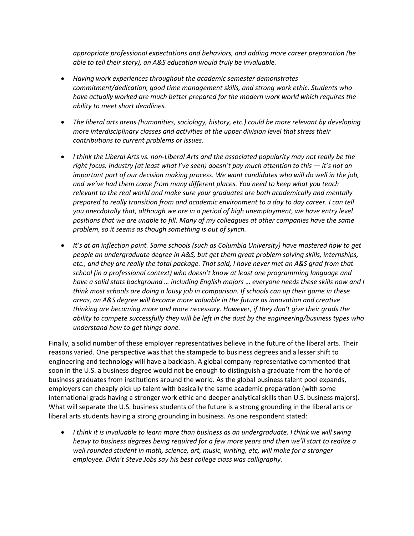*appropriate professional expectations and behaviors, and adding more career preparation (be able to tell their story), an A&S education would truly be invaluable.*

- *Having work experiences throughout the academic semester demonstrates commitment/dedication, good time management skills, and strong work ethic. Students who have actually worked are much better prepared for the modern work world which requires the ability to meet short deadlines.*
- *The liberal arts areas (humanities, sociology, history, etc.) could be more relevant by developing more interdisciplinary classes and activities at the upper division level that stress their contributions to current problems or issues.*
- *I think the Liberal Arts vs. non-Liberal Arts and the associated popularity may not really be the right focus. Industry (at least what I've seen) doesn't pay much attention to this — it's not an important part of our decision making process. We want candidates who will do well in the job, and we've had them come from many different places. You need to keep what you teach relevant to the real world and make sure your graduates are both academically and mentally prepared to really transition from and academic environment to a day to day career. I can tell*  you anecdotally that, although we are in a period of high unemployment, we have entry level *positions that we are unable to fill. Many of my colleagues at other companies have the same problem, so it seems as though something is out of synch.*
- **•** It's at an inflection point. Some schools (such as Columbia University) have mastered how to get *people an undergraduate degree in A&S, but get them great problem solving skills, internships, etc., and they are really the total package. That said, I have never met an A&S grad from that school (in a professional context) who doesn't know at least one programming language and have a solid stats background … including English majors … everyone needs these skills now and I think most schools are doing a lousy job in comparison. If schools can up their game in these areas, an A&S degree will become more valuable in the future as innovation and creative thinking are becoming more and more necessary. However, if they don't give their grads the ability to compete successfully they will be left in the dust by the engineering/business types who understand how to get things done.*

Finally, a solid number of these employer representatives believe in the future of the liberal arts. Their reasons varied. One perspective was that the stampede to business degrees and a lesser shift to engineering and technology will have a backlash. A global company representative commented that soon in the U.S. a business degree would not be enough to distinguish a graduate from the horde of business graduates from institutions around the world. As the global business talent pool expands, employers can cheaply pick up talent with basically the same academic preparation (with some international grads having a stronger work ethic and deeper analytical skills than U.S. business majors). What will separate the U.S. business students of the future is a strong grounding in the liberal arts or liberal arts students having a strong grounding in business. As one respondent stated:

 *I think it is invaluable to learn more than business as an undergraduate. I think we will swing heavy to business degrees being required for a few more years and then we'll start to realize a well rounded student in math, science, art, music, writing, etc, will make for a stronger employee. Didn't Steve Jobs say his best college class was calligraphy.*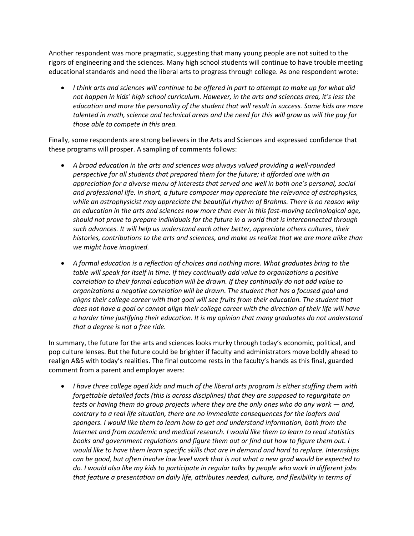Another respondent was more pragmatic, suggesting that many young people are not suited to the rigors of engineering and the sciences. Many high school students will continue to have trouble meeting educational standards and need the liberal arts to progress through college. As one respondent wrote:

 *I think arts and sciences will continue to be offered in part to attempt to make up for what did not happen in kids' high school curriculum. However, in the arts and sciences area, it's less the education and more the personality of the student that will result in success. Some kids are more talented in math, science and technical areas and the need for this will grow as will the pay for those able to compete in this area.*

Finally, some respondents are strong believers in the Arts and Sciences and expressed confidence that these programs will prosper. A sampling of comments follows:

- *A broad education in the arts and sciences was always valued providing a well-rounded perspective for all students that prepared them for the future; it afforded one with an appreciation for a diverse menu of interests that served one well in both one's personal, social and professional life. In short, a future composer may appreciate the relevance of astrophysics, while an astrophysicist may appreciate the beautiful rhythm of Brahms. There is no reason why an education in the arts and sciences now more than ever in this fast-moving technological age, should not prove to prepare individuals for the future in a world that is interconnected through such advances. It will help us understand each other better, appreciate others cultures, their histories, contributions to the arts and sciences, and make us realize that we are more alike than we might have imagined.*
- *A formal education is a reflection of choices and nothing more. What graduates bring to the table will speak for itself in time. If they continually add value to organizations a positive correlation to their formal education will be drawn. If they continually do not add value to organizations a negative correlation will be drawn. The student that has a focused goal and aligns their college career with that goal will see fruits from their education. The student that does not have a goal or cannot align their college career with the direction of their life will have a harder time justifying their education. It is my opinion that many graduates do not understand that a degree is not a free ride.*

In summary, the future for the arts and sciences looks murky through today's economic, political, and pop culture lenses. But the future could be brighter if faculty and administrators move boldly ahead to realign A&S with today's realities. The final outcome rests in the faculty's hands as this final, guarded comment from a parent and employer avers:

 *I have three college aged kids and much of the liberal arts program is either stuffing them with forgettable detailed facts (this is across disciplines) that they are supposed to regurgitate on tests or having them do group projects where they are the only ones who do any work — and, contrary to a real life situation, there are no immediate consequences for the loafers and spongers. I would like them to learn how to get and understand information, both from the Internet and from academic and medical research. I would like them to learn to read statistics books and government regulations and figure them out or find out how to figure them out. I would like to have them learn specific skills that are in demand and hard to replace. Internships can be good, but often involve low level work that is not what a new grad would be expected to do. I would also like my kids to participate in regular talks by people who work in different jobs that feature a presentation on daily life, attributes needed, culture, and flexibility in terms of*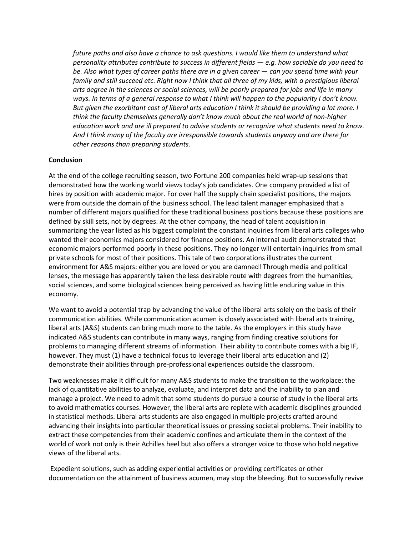*future paths and also have a chance to ask questions. I would like them to understand what personality attributes contribute to success in different fields — e.g. how sociable do you need to be. Also what types of career paths there are in a given career — can you spend time with your family and still succeed etc. Right now I think that all three of my kids, with a prestigious liberal arts degree in the sciences or social sciences, will be poorly prepared for jobs and life in many ways. In terms of a general response to what I think will happen to the popularity I don't know. But given the exorbitant cost of liberal arts education I think it should be providing a lot more. I think the faculty themselves generally don't know much about the real world of non-higher education work and are ill prepared to advise students or recognize what students need to know. And I think many of the faculty are irresponsible towards students anyway and are there for other reasons than preparing students.*

#### **Conclusion**

At the end of the college recruiting season, two Fortune 200 companies held wrap-up sessions that demonstrated how the working world views today's job candidates. One company provided a list of hires by position with academic major. For over half the supply chain specialist positions, the majors were from outside the domain of the business school. The lead talent manager emphasized that a number of different majors qualified for these traditional business positions because these positions are defined by skill sets, not by degrees. At the other company, the head of talent acquisition in summarizing the year listed as his biggest complaint the constant inquiries from liberal arts colleges who wanted their economics majors considered for finance positions. An internal audit demonstrated that economic majors performed poorly in these positions. They no longer will entertain inquiries from small private schools for most of their positions. This tale of two corporations illustrates the current environment for A&S majors: either you are loved or you are damned! Through media and political lenses, the message has apparently taken the less desirable route with degrees from the humanities, social sciences, and some biological sciences being perceived as having little enduring value in this economy.

We want to avoid a potential trap by advancing the value of the liberal arts solely on the basis of their communication abilities. While communication acumen is closely associated with liberal arts training, liberal arts (A&S) students can bring much more to the table. As the employers in this study have indicated A&S students can contribute in many ways, ranging from finding creative solutions for problems to managing different streams of information. Their ability to contribute comes with a big IF, however. They must (1) have a technical focus to leverage their liberal arts education and (2) demonstrate their abilities through pre-professional experiences outside the classroom.

Two weaknesses make it difficult for many A&S students to make the transition to the workplace: the lack of quantitative abilities to analyze, evaluate, and interpret data and the inability to plan and manage a project. We need to admit that some students do pursue a course of study in the liberal arts to avoid mathematics courses. However, the liberal arts are replete with academic disciplines grounded in statistical methods. Liberal arts students are also engaged in multiple projects crafted around advancing their insights into particular theoretical issues or pressing societal problems. Their inability to extract these competencies from their academic confines and articulate them in the context of the world of work not only is their Achilles heel but also offers a stronger voice to those who hold negative views of the liberal arts.

Expedient solutions, such as adding experiential activities or providing certificates or other documentation on the attainment of business acumen, may stop the bleeding. But to successfully revive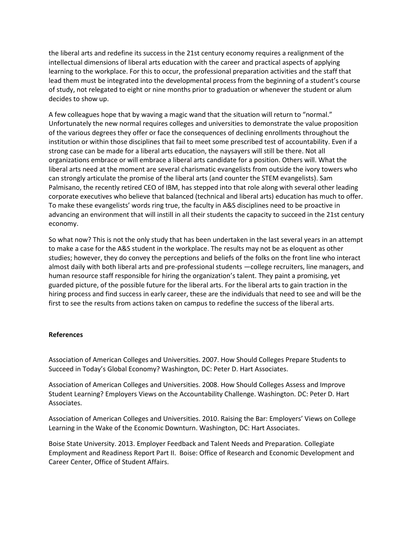the liberal arts and redefine its success in the 21st century economy requires a realignment of the intellectual dimensions of liberal arts education with the career and practical aspects of applying learning to the workplace. For this to occur, the professional preparation activities and the staff that lead them must be integrated into the developmental process from the beginning of a student's course of study, not relegated to eight or nine months prior to graduation or whenever the student or alum decides to show up.

A few colleagues hope that by waving a magic wand that the situation will return to "normal." Unfortunately the new normal requires colleges and universities to demonstrate the value proposition of the various degrees they offer or face the consequences of declining enrollments throughout the institution or within those disciplines that fail to meet some prescribed test of accountability. Even if a strong case can be made for a liberal arts education, the naysayers will still be there. Not all organizations embrace or will embrace a liberal arts candidate for a position. Others will. What the liberal arts need at the moment are several charismatic evangelists from outside the ivory towers who can strongly articulate the promise of the liberal arts (and counter the STEM evangelists). Sam Palmisano, the recently retired CEO of IBM, has stepped into that role along with several other leading corporate executives who believe that balanced (technical and liberal arts) education has much to offer. To make these evangelists' words ring true, the faculty in A&S disciplines need to be proactive in advancing an environment that will instill in all their students the capacity to succeed in the 21st century economy.

So what now? This is not the only study that has been undertaken in the last several years in an attempt to make a case for the A&S student in the workplace. The results may not be as eloquent as other studies; however, they do convey the perceptions and beliefs of the folks on the front line who interact almost daily with both liberal arts and pre-professional students —college recruiters, line managers, and human resource staff responsible for hiring the organization's talent. They paint a promising, yet guarded picture, of the possible future for the liberal arts. For the liberal arts to gain traction in the hiring process and find success in early career, these are the individuals that need to see and will be the first to see the results from actions taken on campus to redefine the success of the liberal arts.

#### **References**

Association of American Colleges and Universities. 2007. How Should Colleges Prepare Students to Succeed in Today's Global Economy? Washington, DC: Peter D. Hart Associates.

Association of American Colleges and Universities. 2008. How Should Colleges Assess and Improve Student Learning? Employers Views on the Accountability Challenge. Washington. DC: Peter D. Hart Associates.

Association of American Colleges and Universities. 2010. Raising the Bar: Employers' Views on College Learning in the Wake of the Economic Downturn. Washington, DC: Hart Associates.

Boise State University. 2013. Employer Feedback and Talent Needs and Preparation. Collegiate Employment and Readiness Report Part II. Boise: Office of Research and Economic Development and Career Center, Office of Student Affairs.